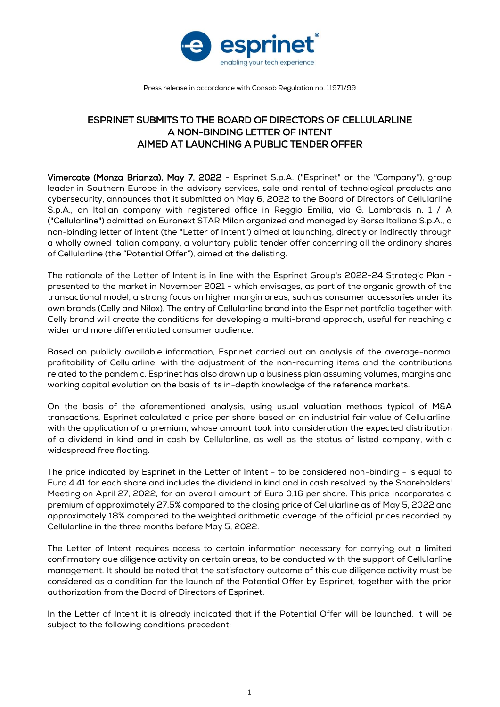

Press release in accordance with Consob Regulation no. 11971/99

## ESPRINET SUBMITS TO THE BOARD OF DIRECTORS OF CELLULARLINE A NON-BINDING LETTER OF INTENT AIMED AT LAUNCHING A PUBLIC TENDER OFFER

Vimercate (Monza Brianza), May 7, 2022 - Esprinet S.p.A. ("Esprinet" or the "Company"), group leader in Southern Europe in the advisory services, sale and rental of technological products and cybersecurity, announces that it submitted on May 6, 2022 to the Board of Directors of Cellularline S.p.A., an Italian company with registered office in Reggio Emilia, via G. Lambrakis n. 1 / A ("Cellularline") admitted on Euronext STAR Milan organized and managed by Borsa Italiana S.p.A., a non-binding letter of intent (the "Letter of Intent") aimed at launching, directly or indirectly through a wholly owned Italian company, a voluntary public tender offer concerning all the ordinary shares of Cellularline (the "Potential Offer"), aimed at the delisting.

The rationale of the Letter of Intent is in line with the Esprinet Group's 2022-24 Strategic Plan presented to the market in November 2021 - which envisages, as part of the organic growth of the transactional model, a strong focus on higher margin areas, such as consumer accessories under its own brands (Celly and Nilox). The entry of Cellularline brand into the Esprinet portfolio together with Celly brand will create the conditions for developing a multi-brand approach, useful for reaching a wider and more differentiated consumer audience.

Based on publicly available information, Esprinet carried out an analysis of the average-normal profitability of Cellularline, with the adjustment of the non-recurring items and the contributions related to the pandemic. Esprinet has also drawn up a business plan assuming volumes, margins and working capital evolution on the basis of its in-depth knowledge of the reference markets.

On the basis of the aforementioned analysis, using usual valuation methods typical of M&A transactions, Esprinet calculated a price per share based on an industrial fair value of Cellularline, with the application of a premium, whose amount took into consideration the expected distribution of a dividend in kind and in cash by Cellularline, as well as the status of listed company, with a widespread free floating.

The price indicated by Esprinet in the Letter of Intent - to be considered non-binding - is equal to Euro 4.41 for each share and includes the dividend in kind and in cash resolved by the Shareholders' Meeting on April 27, 2022, for an overall amount of Euro 0,16 per share. This price incorporates a premium of approximately 27.5% compared to the closing price of Cellularline as of May 5, 2022 and approximately 18% compared to the weighted arithmetic average of the official prices recorded by Cellularline in the three months before May 5, 2022.

The Letter of Intent requires access to certain information necessary for carrying out a limited confirmatory due diligence activity on certain areas, to be conducted with the support of Cellularline management. It should be noted that the satisfactory outcome of this due diligence activity must be considered as a condition for the launch of the Potential Offer by Esprinet, together with the prior authorization from the Board of Directors of Esprinet.

In the Letter of Intent it is already indicated that if the Potential Offer will be launched, it will be subject to the following conditions precedent: